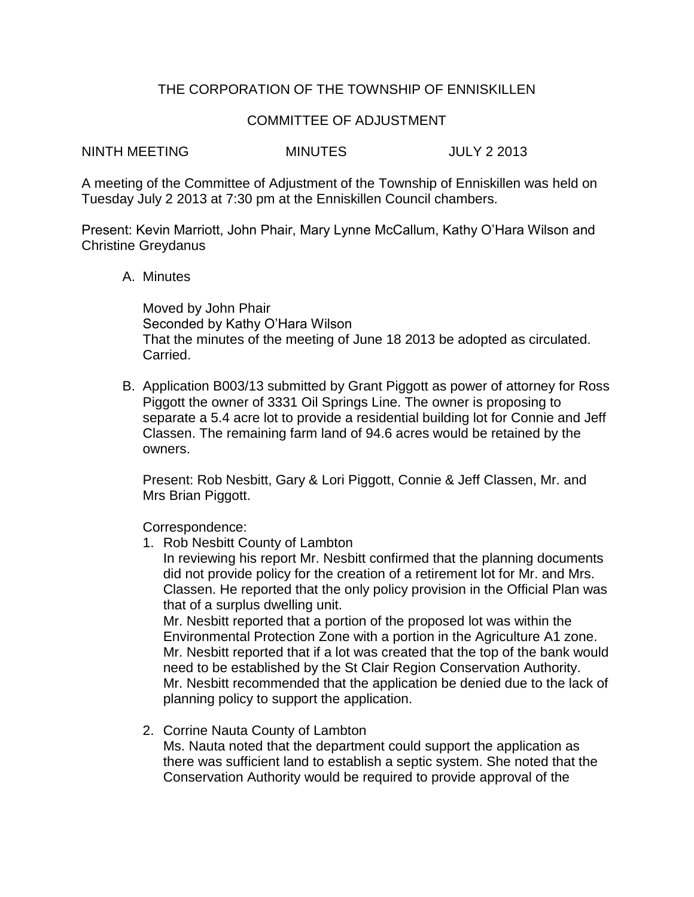## THE CORPORATION OF THE TOWNSHIP OF ENNISKILLEN

## COMMITTEE OF ADJUSTMENT

NINTH MEETING MINUTES JULY 2 2013

A meeting of the Committee of Adjustment of the Township of Enniskillen was held on Tuesday July 2 2013 at 7:30 pm at the Enniskillen Council chambers.

Present: Kevin Marriott, John Phair, Mary Lynne McCallum, Kathy O'Hara Wilson and Christine Greydanus

## A. Minutes

Moved by John Phair Seconded by Kathy O'Hara Wilson That the minutes of the meeting of June 18 2013 be adopted as circulated. Carried.

B. Application B003/13 submitted by Grant Piggott as power of attorney for Ross Piggott the owner of 3331 Oil Springs Line. The owner is proposing to separate a 5.4 acre lot to provide a residential building lot for Connie and Jeff Classen. The remaining farm land of 94.6 acres would be retained by the owners.

Present: Rob Nesbitt, Gary & Lori Piggott, Connie & Jeff Classen, Mr. and Mrs Brian Piggott.

Correspondence:

1. Rob Nesbitt County of Lambton

In reviewing his report Mr. Nesbitt confirmed that the planning documents did not provide policy for the creation of a retirement lot for Mr. and Mrs. Classen. He reported that the only policy provision in the Official Plan was that of a surplus dwelling unit.

Mr. Nesbitt reported that a portion of the proposed lot was within the Environmental Protection Zone with a portion in the Agriculture A1 zone. Mr. Nesbitt reported that if a lot was created that the top of the bank would need to be established by the St Clair Region Conservation Authority. Mr. Nesbitt recommended that the application be denied due to the lack of planning policy to support the application.

2. Corrine Nauta County of Lambton

Ms. Nauta noted that the department could support the application as there was sufficient land to establish a septic system. She noted that the Conservation Authority would be required to provide approval of the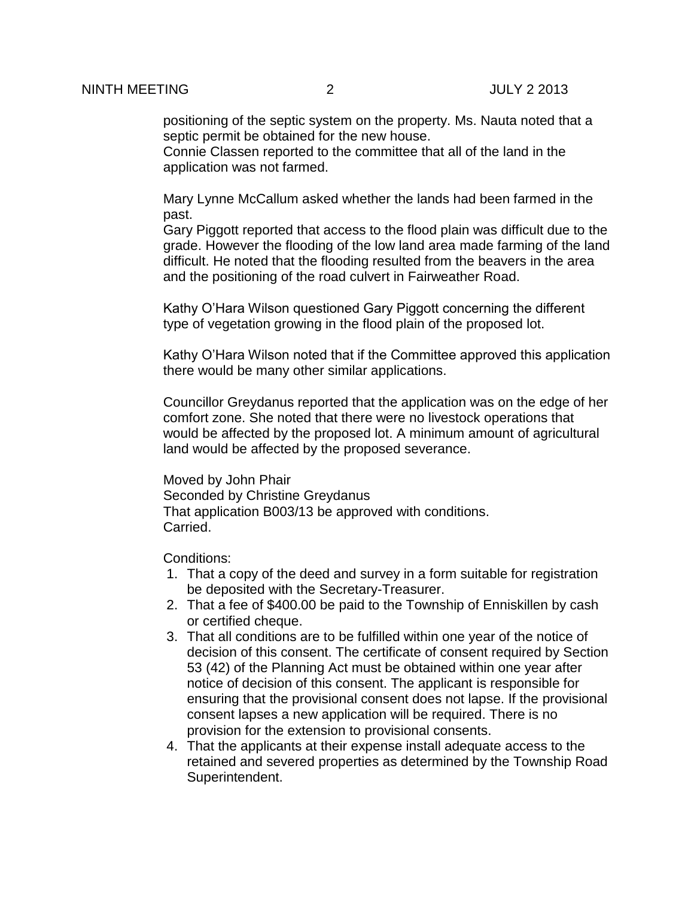positioning of the septic system on the property. Ms. Nauta noted that a septic permit be obtained for the new house.

Connie Classen reported to the committee that all of the land in the application was not farmed.

Mary Lynne McCallum asked whether the lands had been farmed in the past.

Gary Piggott reported that access to the flood plain was difficult due to the grade. However the flooding of the low land area made farming of the land difficult. He noted that the flooding resulted from the beavers in the area and the positioning of the road culvert in Fairweather Road.

Kathy O'Hara Wilson questioned Gary Piggott concerning the different type of vegetation growing in the flood plain of the proposed lot.

Kathy O'Hara Wilson noted that if the Committee approved this application there would be many other similar applications.

Councillor Greydanus reported that the application was on the edge of her comfort zone. She noted that there were no livestock operations that would be affected by the proposed lot. A minimum amount of agricultural land would be affected by the proposed severance.

Moved by John Phair Seconded by Christine Greydanus That application B003/13 be approved with conditions. Carried.

Conditions:

- 1. That a copy of the deed and survey in a form suitable for registration be deposited with the Secretary-Treasurer.
- 2. That a fee of \$400.00 be paid to the Township of Enniskillen by cash or certified cheque.
- 3. That all conditions are to be fulfilled within one year of the notice of decision of this consent. The certificate of consent required by Section 53 (42) of the Planning Act must be obtained within one year after notice of decision of this consent. The applicant is responsible for ensuring that the provisional consent does not lapse. If the provisional consent lapses a new application will be required. There is no provision for the extension to provisional consents.
- 4. That the applicants at their expense install adequate access to the retained and severed properties as determined by the Township Road Superintendent.